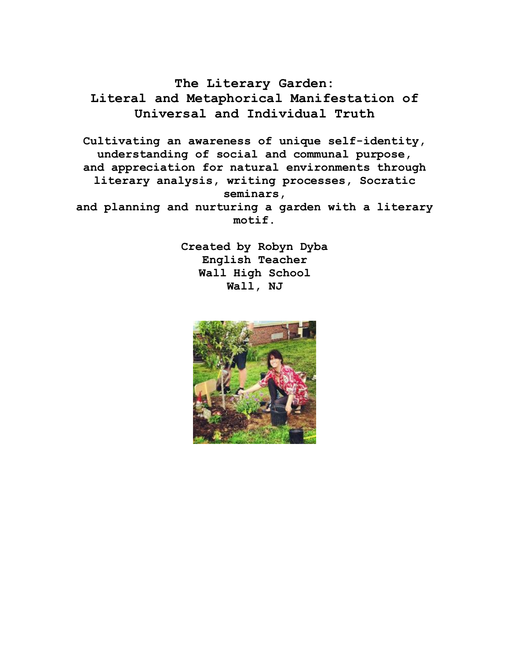**The Literary Garden: Literal and Metaphorical Manifestation of Universal and Individual Truth**

**Cultivating an awareness of unique self-identity, understanding of social and communal purpose, and appreciation for natural environments through literary analysis, writing processes, Socratic seminars, and planning and nurturing a garden with a literary** 

**motif.**

**Created by Robyn Dyba English Teacher Wall High School Wall, NJ**

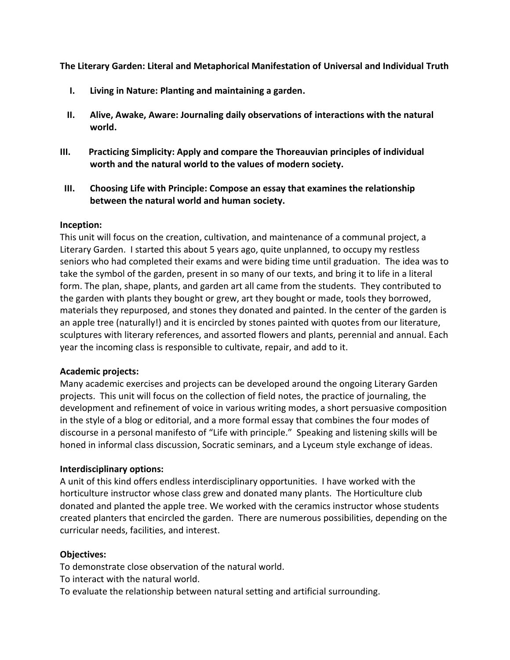**The Literary Garden: Literal and Metaphorical Manifestation of Universal and Individual Truth**

- **I. Living in Nature: Planting and maintaining a garden.**
- **II. Alive, Awake, Aware: Journaling daily observations of interactions with the natural world.**
- **III. Practicing Simplicity: Apply and compare the Thoreauvian principles of individual worth and the natural world to the values of modern society.**
- **III. Choosing Life with Principle: Compose an essay that examines the relationship between the natural world and human society.**

#### **Inception:**

This unit will focus on the creation, cultivation, and maintenance of a communal project, a Literary Garden. I started this about 5 years ago, quite unplanned, to occupy my restless seniors who had completed their exams and were biding time until graduation. The idea was to take the symbol of the garden, present in so many of our texts, and bring it to life in a literal form. The plan, shape, plants, and garden art all came from the students. They contributed to the garden with plants they bought or grew, art they bought or made, tools they borrowed, materials they repurposed, and stones they donated and painted. In the center of the garden is an apple tree (naturally!) and it is encircled by stones painted with quotes from our literature, sculptures with literary references, and assorted flowers and plants, perennial and annual. Each year the incoming class is responsible to cultivate, repair, and add to it.

#### **Academic projects:**

Many academic exercises and projects can be developed around the ongoing Literary Garden projects. This unit will focus on the collection of field notes, the practice of journaling, the development and refinement of voice in various writing modes, a short persuasive composition in the style of a blog or editorial, and a more formal essay that combines the four modes of discourse in a personal manifesto of "Life with principle." Speaking and listening skills will be honed in informal class discussion, Socratic seminars, and a Lyceum style exchange of ideas.

#### **Interdisciplinary options:**

A unit of this kind offers endless interdisciplinary opportunities. I have worked with the horticulture instructor whose class grew and donated many plants. The Horticulture club donated and planted the apple tree. We worked with the ceramics instructor whose students created planters that encircled the garden. There are numerous possibilities, depending on the curricular needs, facilities, and interest.

#### **Objectives:**

To demonstrate close observation of the natural world.

To interact with the natural world.

To evaluate the relationship between natural setting and artificial surrounding.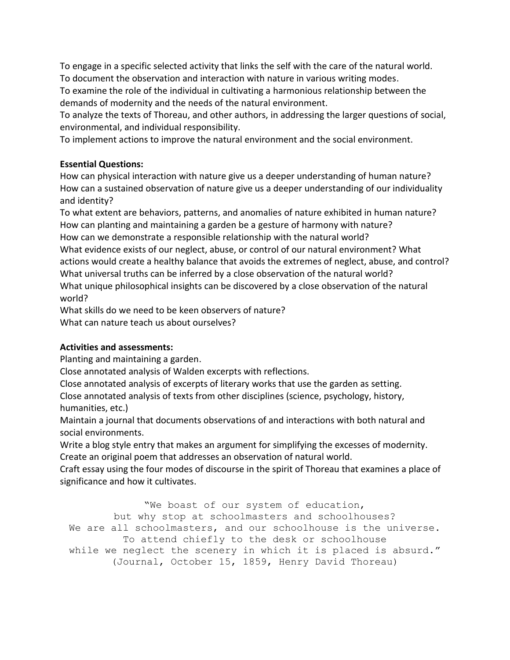To engage in a specific selected activity that links the self with the care of the natural world. To document the observation and interaction with nature in various writing modes.

To examine the role of the individual in cultivating a harmonious relationship between the demands of modernity and the needs of the natural environment.

To analyze the texts of Thoreau, and other authors, in addressing the larger questions of social, environmental, and individual responsibility.

To implement actions to improve the natural environment and the social environment.

## **Essential Questions:**

How can physical interaction with nature give us a deeper understanding of human nature? How can a sustained observation of nature give us a deeper understanding of our individuality and identity?

To what extent are behaviors, patterns, and anomalies of nature exhibited in human nature? How can planting and maintaining a garden be a gesture of harmony with nature? How can we demonstrate a responsible relationship with the natural world? What evidence exists of our neglect, abuse, or control of our natural environment? What actions would create a healthy balance that avoids the extremes of neglect, abuse, and control?

What universal truths can be inferred by a close observation of the natural world? What unique philosophical insights can be discovered by a close observation of the natural world?

What skills do we need to be keen observers of nature? What can nature teach us about ourselves?

# **Activities and assessments:**

Planting and maintaining a garden.

Close annotated analysis of Walden excerpts with reflections.

Close annotated analysis of excerpts of literary works that use the garden as setting.

Close annotated analysis of texts from other disciplines (science, psychology, history, humanities, etc.)

Maintain a journal that documents observations of and interactions with both natural and social environments.

Write a blog style entry that makes an argument for simplifying the excesses of modernity. Create an original poem that addresses an observation of natural world.

Craft essay using the four modes of discourse in the spirit of Thoreau that examines a place of significance and how it cultivates.

"We boast of our system of education, but why stop at schoolmasters and schoolhouses? We are all schoolmasters, and our schoolhouse is the universe. To attend chiefly to the desk or schoolhouse while we neglect the scenery in which it is placed is absurd." (Journal, October 15, 1859, Henry David Thoreau)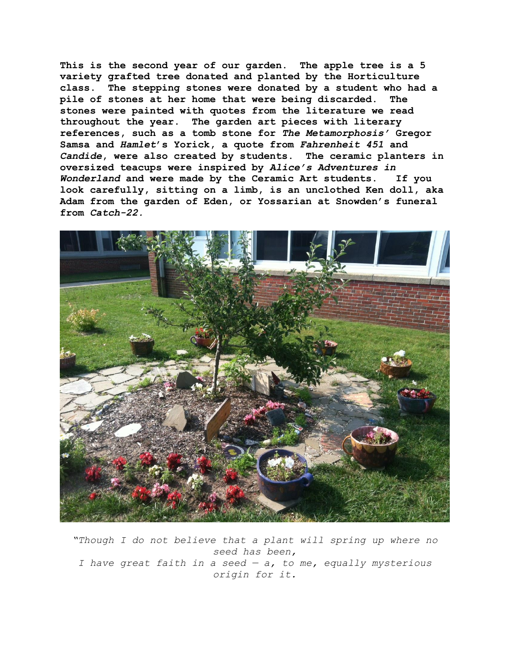**This is the second year of our garden. The apple tree is a 5 variety grafted tree donated and planted by the Horticulture class. The stepping stones were donated by a student who had a pile of stones at her home that were being discarded. The stones were painted with quotes from the literature we read throughout the year. The garden art pieces with literary references, such as a tomb stone for** *The Metamorphosis'* **Gregor Samsa and** *Hamlet***'s Yorick, a quote from** *Fahrenheit 451* **and**  *Candide***, were also created by students. The ceramic planters in oversized teacups were inspired by** *Alice's Adventures in Wonderland* **and were made by the Ceramic Art students. If you look carefully, sitting on a limb, is an unclothed Ken doll, aka Adam from the garden of Eden, or Yossarian at Snowden's funeral from** *Catch-22.*



*"Though I do not believe that a plant will spring up where no seed has been, I have great faith in a seed — a, to me, equally mysterious origin for it.*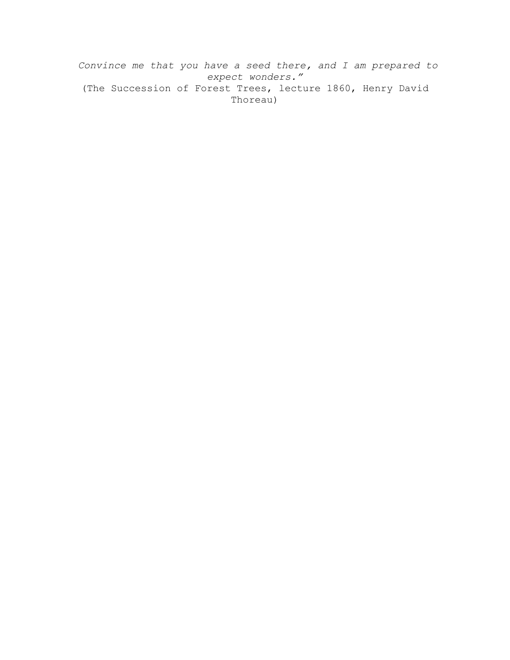*Convince me that you have a seed there, and I am prepared to expect wonders."* (The Succession of Forest Trees, lecture 1860, Henry David Thoreau)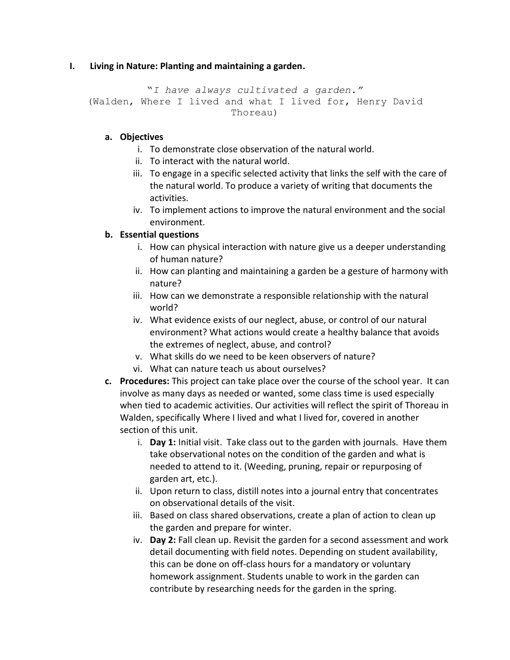### **I. Living in Nature: Planting and maintaining a garden.**

```
"I have always cultivated a garden."
(Walden, Where I lived and what I lived for, Henry David 
                        Thoreau)
```
### **a. Objectives**

- i. To demonstrate close observation of the natural world.
- ii. To interact with the natural world.
- iii. To engage in a specific selected activity that links the self with the care of the natural world. To produce a variety of writing that documents the activities.
- iv. To implement actions to improve the natural environment and the social environment.

### **b. Essential questions**

- i. How can physical interaction with nature give us a deeper understanding of human nature?
- ii. How can planting and maintaining a garden be a gesture of harmony with nature?
- iii. How can we demonstrate a responsible relationship with the natural world?
- iv. What evidence exists of our neglect, abuse, or control of our natural environment? What actions would create a healthy balance that avoids the extremes of neglect, abuse, and control?
- v. What skills do we need to be keen observers of nature?
- vi. What can nature teach us about ourselves?
- **c. Procedures:** This project can take place over the course of the school year. It can involve as many days as needed or wanted, some class time is used especially when tied to academic activities. Our activities will reflect the spirit of Thoreau in Walden, specifically Where I lived and what I lived for, covered in another section of this unit.
	- i. **Day 1:** Initial visit. Take class out to the garden with journals. Have them take observational notes on the condition of the garden and what is needed to attend to it. (Weeding, pruning, repair or repurposing of garden art, etc*.*).
	- ii. Upon return to class, distill notes into a journal entry that concentrates on observational details of the visit.
	- iii. Based on class shared observations, create a plan of action to clean up the garden and prepare for winter.
	- iv. **Day 2:** Fall clean up. Revisit the garden for a second assessment and work detail documenting with field notes. Depending on student availability, this can be done on off-class hours for a mandatory or voluntary homework assignment. Students unable to work in the garden can contribute by researching needs for the garden in the spring.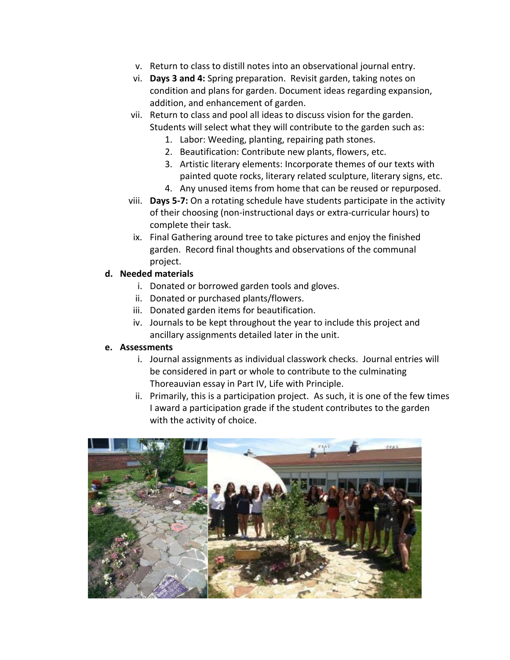- v. Return to class to distill notes into an observational journal entry.
- vi. **Days 3 and 4:** Spring preparation. Revisit garden, taking notes on condition and plans for garden. Document ideas regarding expansion, addition, and enhancement of garden.
- vii. Return to class and pool all ideas to discuss vision for the garden. Students will select what they will contribute to the garden such as:
	- 1. Labor: Weeding, planting, repairing path stones.
	- 2. Beautification: Contribute new plants, flowers, etc.
	- 3. Artistic literary elements: Incorporate themes of our texts with painted quote rocks, literary related sculpture, literary signs, etc.
	- 4. Any unused items from home that can be reused or repurposed.
- viii. **Days 5-7:** On a rotating schedule have students participate in the activity of their choosing (non-instructional days or extra-curricular hours) to complete their task.
	- ix. Final Gathering around tree to take pictures and enjoy the finished garden. Record final thoughts and observations of the communal project.

### **d. Needed materials**

- i. Donated or borrowed garden tools and gloves.
- ii. Donated or purchased plants/flowers.
- iii. Donated garden items for beautification.
- iv. Journals to be kept throughout the year to include this project and ancillary assignments detailed later in the unit.

#### **e. Assessments**

- i. Journal assignments as individual classwork checks. Journal entries will be considered in part or whole to contribute to the culminating Thoreauvian essay in Part IV, Life with Principle.
- ii. Primarily, this is a participation project. As such, it is one of the few times I award a participation grade if the student contributes to the garden with the activity of choice.

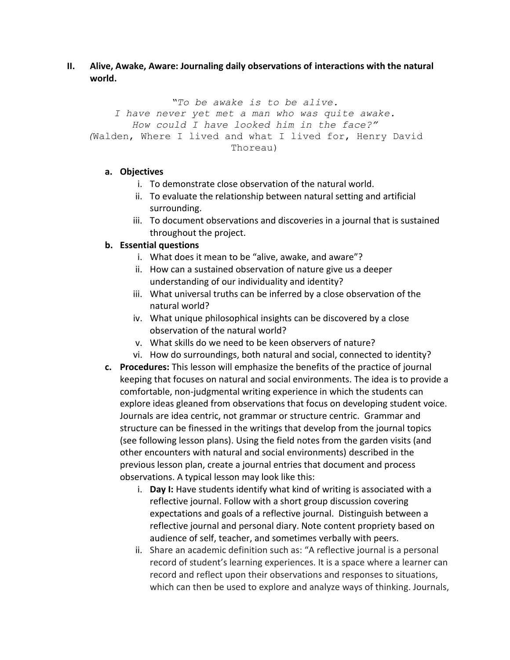**II. Alive, Awake, Aware: Journaling daily observations of interactions with the natural world.**

*"To be awake is to be alive. I have never yet met a man who was quite awake. How could I have looked him in the face?" (*Walden, Where I lived and what I lived for, Henry David Thoreau)

#### **a. Objectives**

- i. To demonstrate close observation of the natural world.
- ii. To evaluate the relationship between natural setting and artificial surrounding.
- iii. To document observations and discoveries in a journal that is sustained throughout the project.

## **b. Essential questions**

- i. What does it mean to be "alive, awake, and aware"?
- ii. How can a sustained observation of nature give us a deeper understanding of our individuality and identity?
- iii. What universal truths can be inferred by a close observation of the natural world?
- iv. What unique philosophical insights can be discovered by a close observation of the natural world?
- v. What skills do we need to be keen observers of nature?
- vi. How do surroundings, both natural and social, connected to identity?
- **c. Procedures:** This lesson will emphasize the benefits of the practice of journal keeping that focuses on natural and social environments. The idea is to provide a comfortable, non-judgmental writing experience in which the students can explore ideas gleaned from observations that focus on developing student voice. Journals are idea centric, not grammar or structure centric. Grammar and structure can be finessed in the writings that develop from the journal topics (see following lesson plans). Using the field notes from the garden visits (and other encounters with natural and social environments) described in the previous lesson plan, create a journal entries that document and process observations. A typical lesson may look like this:
	- i. **Day I:** Have students identify what kind of writing is associated with a reflective journal. Follow with a short group discussion covering expectations and goals of a reflective journal. Distinguish between a reflective journal and personal diary. Note content propriety based on audience of self, teacher, and sometimes verbally with peers.
	- ii. Share an academic definition such as: "A reflective journal is a personal record of student's learning experiences. It is a space where a learner can record and reflect upon their observations and responses to situations, which can then be used to explore and analyze ways of thinking. Journals,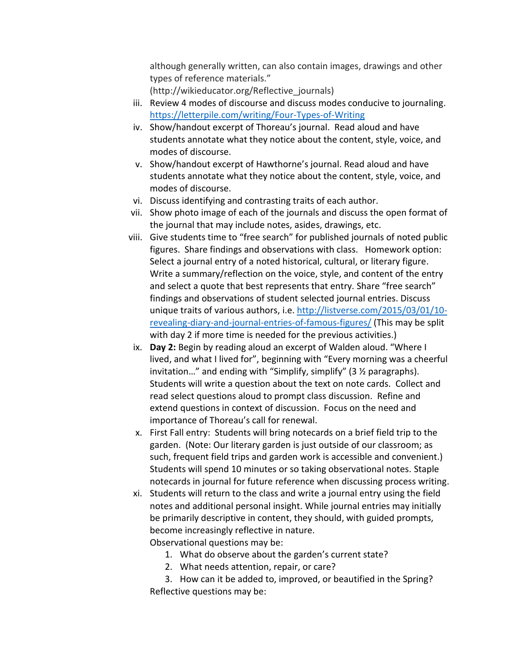although generally written, can also contain images, drawings and other types of reference materials."

(http://wikieducator.org/Reflective\_journals)

- iii. Review 4 modes of discourse and discuss modes conducive to journaling. <https://letterpile.com/writing/Four-Types-of-Writing>
- iv. Show/handout excerpt of Thoreau's journal. Read aloud and have students annotate what they notice about the content, style, voice, and modes of discourse.
- v. Show/handout excerpt of Hawthorne's journal. Read aloud and have students annotate what they notice about the content, style, voice, and modes of discourse.
- vi. Discuss identifying and contrasting traits of each author.
- vii. Show photo image of each of the journals and discuss the open format of the journal that may include notes, asides, drawings, etc.
- viii. Give students time to "free search" for published journals of noted public figures. Share findings and observations with class. Homework option: Select a journal entry of a noted historical, cultural, or literary figure. Write a summary/reflection on the voice, style, and content of the entry and select a quote that best represents that entry. Share "free search" findings and observations of student selected journal entries. Discuss unique traits of various authors, i.e. [http://listverse.com/2015/03/01/10](http://listverse.com/2015/03/01/10-revealing-diary-and-journal-entries-of-famous-figures/) [revealing-diary-and-journal-entries-of-famous-figures/](http://listverse.com/2015/03/01/10-revealing-diary-and-journal-entries-of-famous-figures/) (This may be split with day 2 if more time is needed for the previous activities.)
- ix. **Day 2:** Begin by reading aloud an excerpt of Walden aloud. "Where I lived, and what I lived for", beginning with "Every morning was a cheerful invitation…" and ending with "Simplify, simplify" (3 ½ paragraphs). Students will write a question about the text on note cards. Collect and read select questions aloud to prompt class discussion. Refine and extend questions in context of discussion. Focus on the need and importance of Thoreau's call for renewal.
- x. First Fall entry: Students will bring notecards on a brief field trip to the garden. (Note: Our literary garden is just outside of our classroom; as such, frequent field trips and garden work is accessible and convenient.) Students will spend 10 minutes or so taking observational notes. Staple notecards in journal for future reference when discussing process writing.
- xi. Students will return to the class and write a journal entry using the field notes and additional personal insight. While journal entries may initially be primarily descriptive in content, they should, with guided prompts, become increasingly reflective in nature. Observational questions may be:
	- 1. What do observe about the garden's current state?
	- 2. What needs attention, repair, or care?

3. How can it be added to, improved, or beautified in the Spring? Reflective questions may be: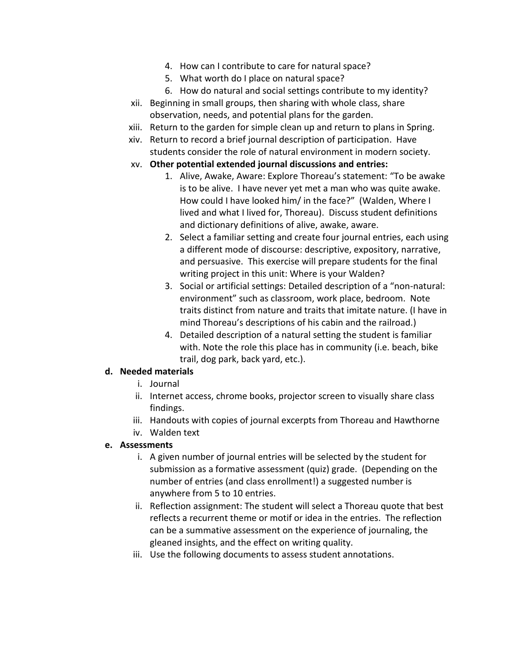- 4. How can I contribute to care for natural space?
- 5. What worth do I place on natural space?
- 6. How do natural and social settings contribute to my identity?
- xii. Beginning in small groups, then sharing with whole class, share observation, needs, and potential plans for the garden.
- xiii. Return to the garden for simple clean up and return to plans in Spring.
- xiv. Return to record a brief journal description of participation. Have students consider the role of natural environment in modern society.
- xv. **Other potential extended journal discussions and entries:**
	- 1. Alive, Awake, Aware: Explore Thoreau's statement: "To be awake is to be alive. I have never yet met a man who was quite awake. How could I have looked him/ in the face?" (Walden, Where I lived and what I lived for, Thoreau). Discuss student definitions and dictionary definitions of alive, awake, aware.
	- 2. Select a familiar setting and create four journal entries, each using a different mode of discourse: descriptive, expository, narrative, and persuasive. This exercise will prepare students for the final writing project in this unit: Where is your Walden?
	- 3. Social or artificial settings: Detailed description of a "non-natural: environment" such as classroom, work place, bedroom. Note traits distinct from nature and traits that imitate nature. (I have in mind Thoreau's descriptions of his cabin and the railroad.)
	- 4. Detailed description of a natural setting the student is familiar with. Note the role this place has in community (i.e. beach, bike trail, dog park, back yard, etc.).

### **d. Needed materials**

- i. Journal
- ii. Internet access, chrome books, projector screen to visually share class findings.
- iii. Handouts with copies of journal excerpts from Thoreau and Hawthorne
- iv. Walden text

### **e. Assessments**

- i. A given number of journal entries will be selected by the student for submission as a formative assessment (quiz) grade. (Depending on the number of entries (and class enrollment!) a suggested number is anywhere from 5 to 10 entries.
- ii. Reflection assignment: The student will select a Thoreau quote that best reflects a recurrent theme or motif or idea in the entries. The reflection can be a summative assessment on the experience of journaling, the gleaned insights, and the effect on writing quality.
- iii. Use the following documents to assess student annotations.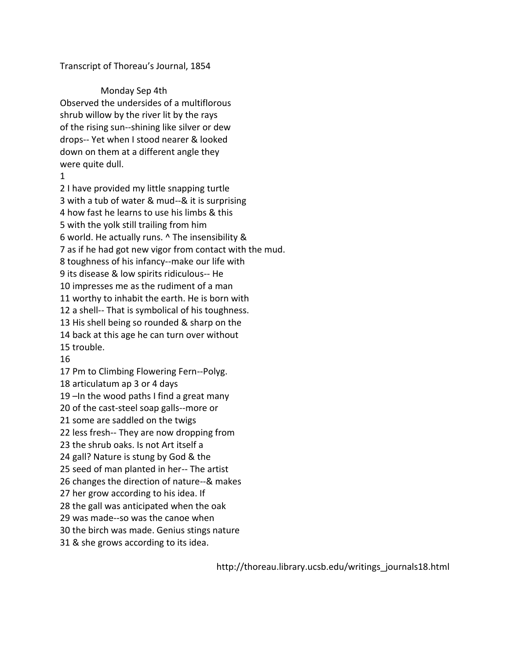#### Transcript of Thoreau's Journal, 1854

 Monday Sep 4th Observed the undersides of a multiflorous shrub willow by the river lit by the rays of the rising sun--shining like silver or dew drops-- Yet when I stood nearer & looked down on them at a different angle they were quite dull.

1

2 I have provided my little snapping turtle 3 with a tub of water & mud--& it is surprising 4 how fast he learns to use his limbs & this 5 with the yolk still trailing from him 6 world. He actually runs. ^ The insensibility & 7 as if he had got new vigor from contact with the mud. 8 toughness of his infancy--make our life with 9 its disease & low spirits ridiculous-- He 10 impresses me as the rudiment of a man 11 worthy to inhabit the earth. He is born with 12 a shell-- That is symbolical of his toughness. 13 His shell being so rounded & sharp on the 14 back at this age he can turn over without 15 trouble.

16

17 Pm to Climbing Flowering Fern--Polyg. 18 articulatum ap 3 or 4 days 19 –In the wood paths I find a great many 20 of the cast-steel soap galls--more or 21 some are saddled on the twigs 22 less fresh-- They are now dropping from 23 the shrub oaks. Is not Art itself a 24 gall? Nature is stung by God & the 25 seed of man planted in her-- The artist 26 changes the direction of nature--& makes 27 her grow according to his idea. If 28 the gall was anticipated when the oak 29 was made--so was the canoe when 30 the birch was made. Genius stings nature 31 & she grows according to its idea.

http://thoreau.library.ucsb.edu/writings\_journals18.html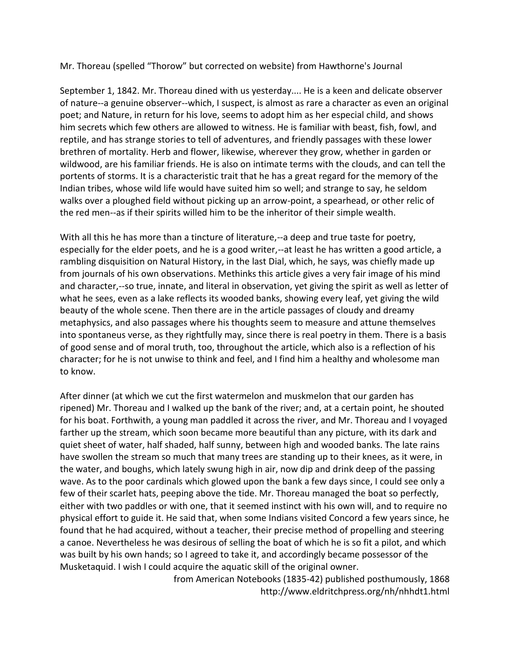Mr. Thoreau (spelled "Thorow" but corrected on website) from Hawthorne's Journal

September 1, 1842. Mr. Thoreau dined with us yesterday.... He is a keen and delicate observer of nature--a genuine observer--which, I suspect, is almost as rare a character as even an original poet; and Nature, in return for his love, seems to adopt him as her especial child, and shows him secrets which few others are allowed to witness. He is familiar with beast, fish, fowl, and reptile, and has strange stories to tell of adventures, and friendly passages with these lower brethren of mortality. Herb and flower, likewise, wherever they grow, whether in garden or wildwood, are his familiar friends. He is also on intimate terms with the clouds, and can tell the portents of storms. It is a characteristic trait that he has a great regard for the memory of the Indian tribes, whose wild life would have suited him so well; and strange to say, he seldom walks over a ploughed field without picking up an arrow-point, a spearhead, or other relic of the red men--as if their spirits willed him to be the inheritor of their simple wealth.

With all this he has more than a tincture of literature,--a deep and true taste for poetry, especially for the elder poets, and he is a good writer,--at least he has written a good article, a rambling disquisition on Natural History, in the last Dial, which, he says, was chiefly made up from journals of his own observations. Methinks this article gives a very fair image of his mind and character,--so true, innate, and literal in observation, yet giving the spirit as well as letter of what he sees, even as a lake reflects its wooded banks, showing every leaf, yet giving the wild beauty of the whole scene. Then there are in the article passages of cloudy and dreamy metaphysics, and also passages where his thoughts seem to measure and attune themselves into spontaneus verse, as they rightfully may, since there is real poetry in them. There is a basis of good sense and of moral truth, too, throughout the article, which also is a reflection of his character; for he is not unwise to think and feel, and I find him a healthy and wholesome man to know.

After dinner (at which we cut the first watermelon and muskmelon that our garden has ripened) Mr. Thoreau and I walked up the bank of the river; and, at a certain point, he shouted for his boat. Forthwith, a young man paddled it across the river, and Mr. Thoreau and I voyaged farther up the stream, which soon became more beautiful than any picture, with its dark and quiet sheet of water, half shaded, half sunny, between high and wooded banks. The late rains have swollen the stream so much that many trees are standing up to their knees, as it were, in the water, and boughs, which lately swung high in air, now dip and drink deep of the passing wave. As to the poor cardinals which glowed upon the bank a few days since, I could see only a few of their scarlet hats, peeping above the tide. Mr. Thoreau managed the boat so perfectly, either with two paddles or with one, that it seemed instinct with his own will, and to require no physical effort to guide it. He said that, when some Indians visited Concord a few years since, he found that he had acquired, without a teacher, their precise method of propelling and steering a canoe. Nevertheless he was desirous of selling the boat of which he is so fit a pilot, and which was built by his own hands; so I agreed to take it, and accordingly became possessor of the Musketaquid. I wish I could acquire the aquatic skill of the original owner.

> from American Notebooks (1835-42) published posthumously, 1868 http://www.eldritchpress.org/nh/nhhdt1.html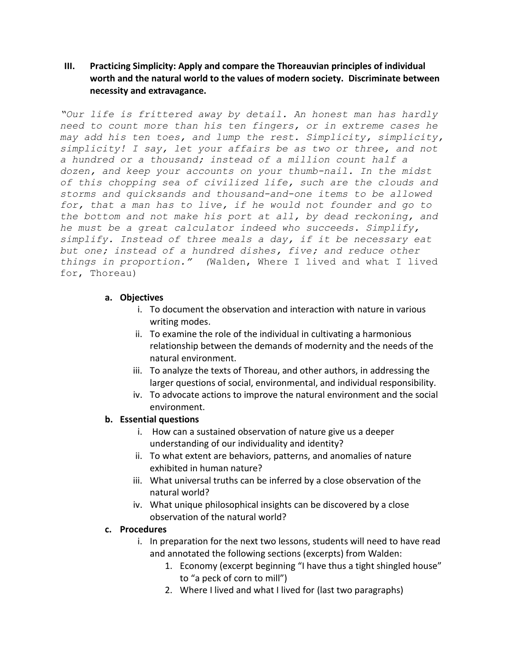**III. Practicing Simplicity: Apply and compare the Thoreauvian principles of individual worth and the natural world to the values of modern society. Discriminate between necessity and extravagance.** 

*"Our life is frittered away by detail. An honest man has hardly need to count more than his ten fingers, or in extreme cases he may add his ten toes, and lump the rest. Simplicity, simplicity, simplicity! I say, let your affairs be as two or three, and not a hundred or a thousand; instead of a million count half a dozen, and keep your accounts on your thumb-nail. In the midst of this chopping sea of civilized life, such are the clouds and storms and quicksands and thousand-and-one items to be allowed for, that a man has to live, if he would not founder and go to the bottom and not make his port at all, by dead reckoning, and he must be a great calculator indeed who succeeds. Simplify, simplify. Instead of three meals a day, if it be necessary eat but one; instead of a hundred dishes, five; and reduce other things in proportion." (*Walden, Where I lived and what I lived for, Thoreau)

#### **a. Objectives**

- i. To document the observation and interaction with nature in various writing modes.
- ii. To examine the role of the individual in cultivating a harmonious relationship between the demands of modernity and the needs of the natural environment.
- iii. To analyze the texts of Thoreau, and other authors, in addressing the larger questions of social, environmental, and individual responsibility.
- iv. To advocate actions to improve the natural environment and the social environment.

#### **b. Essential questions**

- i. How can a sustained observation of nature give us a deeper understanding of our individuality and identity?
- ii. To what extent are behaviors, patterns, and anomalies of nature exhibited in human nature?
- iii. What universal truths can be inferred by a close observation of the natural world?
- iv. What unique philosophical insights can be discovered by a close observation of the natural world?

#### **c. Procedures**

- i. In preparation for the next two lessons, students will need to have read and annotated the following sections (excerpts) from Walden:
	- 1. Economy (excerpt beginning "I have thus a tight shingled house" to "a peck of corn to mill")
	- 2. Where I lived and what I lived for (last two paragraphs)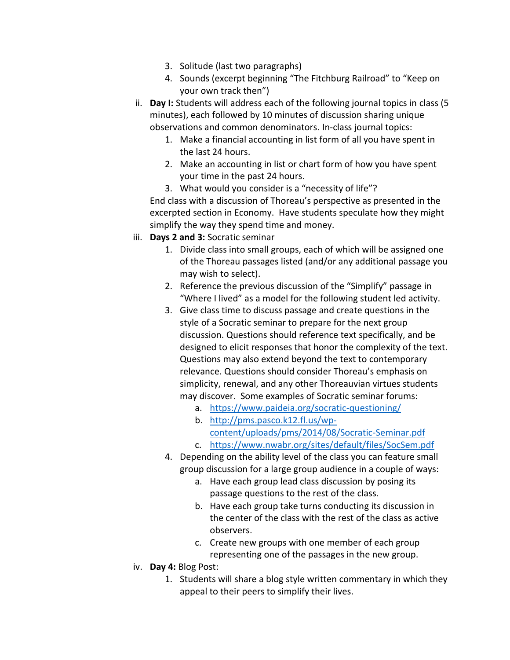- 3. Solitude (last two paragraphs)
- 4. Sounds (excerpt beginning "The Fitchburg Railroad" to "Keep on your own track then")
- ii. **Day I:** Students will address each of the following journal topics in class (5 minutes), each followed by 10 minutes of discussion sharing unique observations and common denominators. In-class journal topics:
	- 1. Make a financial accounting in list form of all you have spent in the last 24 hours.
	- 2. Make an accounting in list or chart form of how you have spent your time in the past 24 hours.
	- 3. What would you consider is a "necessity of life"? End class with a discussion of Thoreau's perspective as presented in the excerpted section in Economy. Have students speculate how they might simplify the way they spend time and money.
- iii. **Days 2 and 3:** Socratic seminar
	- 1. Divide class into small groups, each of which will be assigned one of the Thoreau passages listed (and/or any additional passage you may wish to select).
	- 2. Reference the previous discussion of the "Simplify" passage in "Where I lived" as a model for the following student led activity.
	- 3. Give class time to discuss passage and create questions in the style of a Socratic seminar to prepare for the next group discussion. Questions should reference text specifically, and be designed to elicit responses that honor the complexity of the text. Questions may also extend beyond the text to contemporary relevance. Questions should consider Thoreau's emphasis on simplicity, renewal, and any other Thoreauvian virtues students may discover. Some examples of Socratic seminar forums:
		- a. <https://www.paideia.org/socratic-questioning/>
		- b. [http://pms.pasco.k12.fl.us/wp](http://pms.pasco.k12.fl.us/wp-content/uploads/pms/2014/08/Socratic-Seminar.pdf)[content/uploads/pms/2014/08/Socratic-Seminar.pdf](http://pms.pasco.k12.fl.us/wp-content/uploads/pms/2014/08/Socratic-Seminar.pdf)
		- c. <https://www.nwabr.org/sites/default/files/SocSem.pdf>
	- 4. Depending on the ability level of the class you can feature small group discussion for a large group audience in a couple of ways:
		- a. Have each group lead class discussion by posing its passage questions to the rest of the class.
		- b. Have each group take turns conducting its discussion in the center of the class with the rest of the class as active observers.
		- c. Create new groups with one member of each group representing one of the passages in the new group.
- iv. **Day 4:** Blog Post:
	- 1. Students will share a blog style written commentary in which they appeal to their peers to simplify their lives.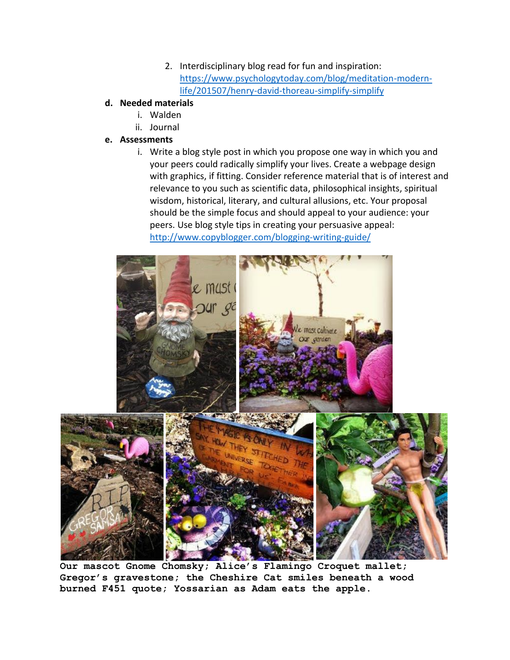2. Interdisciplinary blog read for fun and inspiration: [https://www.psychologytoday.com/blog/meditation-modern](https://www.psychologytoday.com/blog/meditation-modern-life/201507/henry-david-thoreau-simplify-simplify)[life/201507/henry-david-thoreau-simplify-simplify](https://www.psychologytoday.com/blog/meditation-modern-life/201507/henry-david-thoreau-simplify-simplify)

## **d. Needed materials**

- i. Walden
- ii. Journal

## **e. Assessments**

i. Write a blog style post in which you propose one way in which you and your peers could radically simplify your lives. Create a webpage design with graphics, if fitting. Consider reference material that is of interest and relevance to you such as scientific data, philosophical insights, spiritual wisdom, historical, literary, and cultural allusions, etc. Your proposal should be the simple focus and should appeal to your audience: your peers. Use blog style tips in creating your persuasive appeal: <http://www.copyblogger.com/blogging-writing-guide/>



**Our mascot Gnome Chomsky; Alice's Flamingo Croquet mallet; Gregor's gravestone; the Cheshire Cat smiles beneath a wood burned F451 quote; Yossarian as Adam eats the apple.**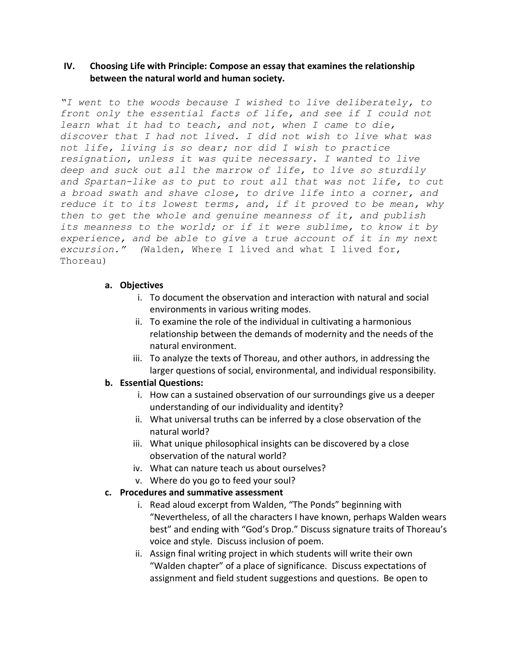### **IV. Choosing Life with Principle: Compose an essay that examines the relationship between the natural world and human society.**

*"I went to the woods because I wished to live deliberately, to front only the essential facts of life, and see if I could not learn what it had to teach, and not, when I came to die, discover that I had not lived. I did not wish to live what was not life, living is so dear; nor did I wish to practice resignation, unless it was quite necessary. I wanted to live deep and suck out all the marrow of life, to live so sturdily and Spartan-like as to put to rout all that was not life, to cut a broad swath and shave close, to drive life into a corner, and reduce it to its lowest terms, and, if it proved to be mean, why then to get the whole and genuine meanness of it, and publish its meanness to the world; or if it were sublime, to know it by experience, and be able to give a true account of it in my next excursion." (*Walden, Where I lived and what I lived for, Thoreau)

#### **a. Objectives**

- i. To document the observation and interaction with natural and social environments in various writing modes.
- ii. To examine the role of the individual in cultivating a harmonious relationship between the demands of modernity and the needs of the natural environment.
- iii. To analyze the texts of Thoreau, and other authors, in addressing the larger questions of social, environmental, and individual responsibility.

#### **b. Essential Questions:**

- i. How can a sustained observation of our surroundings give us a deeper understanding of our individuality and identity?
- ii. What universal truths can be inferred by a close observation of the natural world?
- iii. What unique philosophical insights can be discovered by a close observation of the natural world?
- iv. What can nature teach us about ourselves?
- v. Where do you go to feed your soul?

### **c. Procedures and summative assessment**

- i. Read aloud excerpt from Walden, "The Ponds" beginning with "Nevertheless, of all the characters I have known, perhaps Walden wears best" and ending with "God's Drop." Discuss signature traits of Thoreau's voice and style. Discuss inclusion of poem.
- ii. Assign final writing project in which students will write their own "Walden chapter" of a place of significance. Discuss expectations of assignment and field student suggestions and questions. Be open to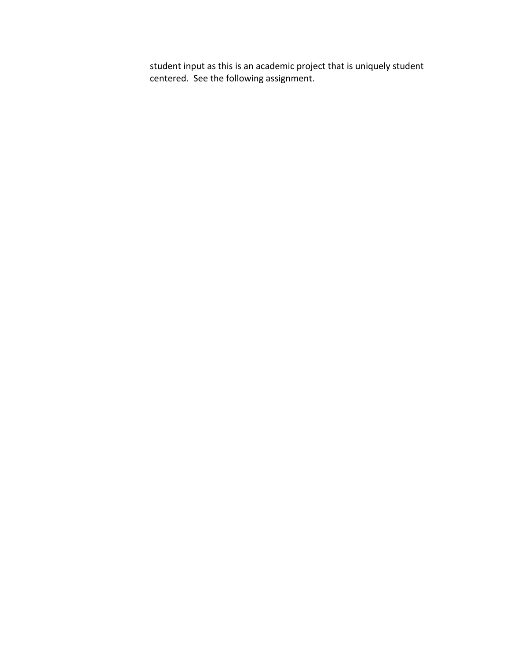student input as this is an academic project that is uniquely student centered. See the following assignment.